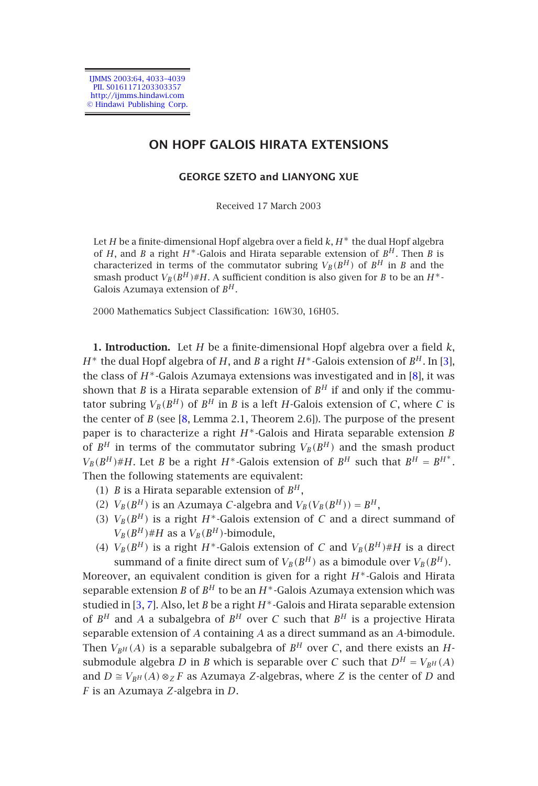IJMMS 2003:64, 4033–4039 PII. S0161171203303357 http://ijmms.hindawi.com © Hindawi Publishing Corp.

# **ON HOPF GALOIS HIRATA EXTENSIONS**

## **GEORGE SZETO and LIANYONG XUE**

Received 17 March 2003

Let *H* be a finite-dimensional Hopf algebra over a field *k*, *H*<sup>∗</sup> the dual Hopf algebr[a](#page-5-0) of *H*, and *B* a right *H*∗-Galois and Hirata separable extension of *B<sup>H</sup>* . T[hen](#page-6-0) *B* is characterized in terms of the commutator subring  $V_B(B^H)$  of  $B^H$  in *B* and the smash product  $V_B(B^H) \# H$ . A sufficient condition is also given for *B* to be an  $H^*$ -Galois Azumaya ext[en](#page-6-0)sion of *B<sup>H</sup>* .

2000 Mathematics Subject Classification: 16W30, 16H05.

**1. Introduction.** Let *H* be a finite-dimensional Hopf algebra over a field *k*, *H*<sup>∗</sup> the dual Hopf algebra of *H*, and *B* a right *H*<sup>∗</sup>-Galois extension of *B<sup>H</sup>* . In [3], the class of *H*∗-Galois Azumaya extensions was investigated and in [8], it was shown that *B* is a Hirata separable extension of  $B<sup>H</sup>$  if and only if the commutator subring  $V_B(B^H)$  of  $B^H$  in *B* is a left *H*-Galois extension of *C*, where *C* is the center of *B* (see [8, Lemma 2.1, Theorem 2.6]). The purpose of the present paper is to characterize a right *H*∗-Galois and Hirata separable extension *B* of  $B^H$  in terms of the commutator subring  $V_B(B^H)$  and the smash product  $V_B(B^H) \# H$ . Let *B* be a right *H*<sup>\*</sup>-Galois extension of *B*<sup>*H*</sup> such that *B*<sup>*H*</sup> = *B*<sup>*H*<sup>\*</sup>.</sup> Then the f[oll](#page-5-0)[ow](#page-6-1)ing statements are equivalent:

- (1) *B* is a Hirata separable extension of  $B^H$ ,
- (2)  $V_B(B^H)$  is an Azumaya *C*-algebra and  $V_B(V_B(B^H)) = B^H$ ,
- (3)  $V_B(B^H)$  is a right  $H^*$ -Galois extension of *C* and a direct summand of  $V_B(B^H)$ #*H* as a  $V_B(B^H)$ -bimodule,
- (4)  $V_B(B^H)$  is a right  $H^*$ -Galois extension of *C* and  $V_B(B^H)$  *#H* is a direct summand of a finite direct sum of  $V_B(B^H)$  as a bimodule over  $V_B(B^H)$ .

Moreover, an equivalent condition is given for a right *H*∗-Galois and Hirata separable extension *B* of  $B^H$  to be an  $H^*$ -Galois Azumaya extension which was studied in [3, 7]. Also, let *B* be a right *H*∗-Galois and Hirata separable extension of  $B^H$  and A a subalgebra of  $B^H$  over C such that  $B^H$  is a projective Hirata separable extension of *A* containing *A* as a direct summand as an *A*-bimodule. Then  $V_{B^H}(A)$  is a separable subalgebra of  $B^H$  over *C*, and there exists an *H*submodule algebra *D* in *B* which is separable over *C* such that  $D^H = V_{BH}(A)$ and  $D \cong V_{B^H}(A) \otimes_Z F$  as Azumaya *Z*-algebras, where *Z* is the center of *D* and *F* is an Azumaya *Z*-algebra in *D*.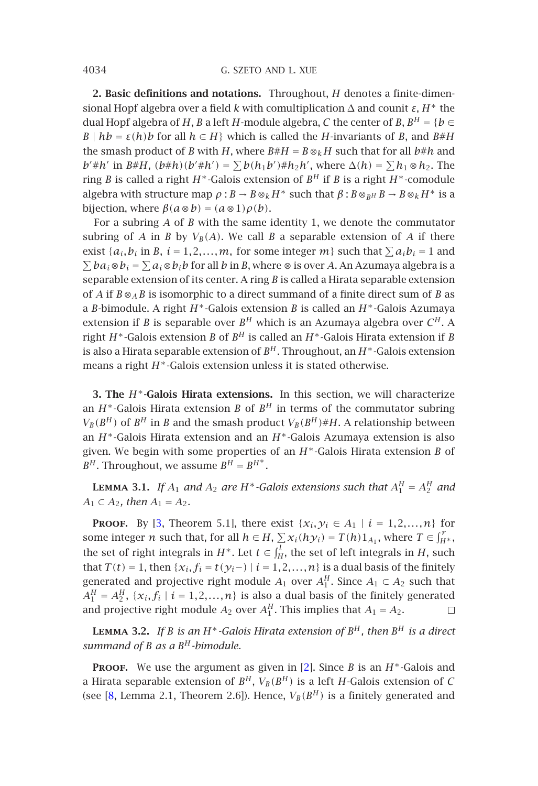4034 G. SZETO AND L. XUE

**2. Basic definitions and notations.** Throughout, *H* denotes a finite-dimensional Hopf algebra over a field *k* with comultiplication ∆ and counit *ε*, *H*<sup>∗</sup> the dual Hopf algebra of *H*, *B* a left *H*-module algebra, *C* the center of *B*,  $B^H = \{b \in$ *B* |  $h$ *b* =  $\varepsilon$ (*h*)*b* for all  $h \in H$ } which is called the *H*-invariants of *B*, and *B*#*H* the smash product of *B* with *H*, where  $B#H = B \otimes_k H$  such that for all  $b#h$  and *b*<sup>'</sup>#*h*<sup>'</sup> in *B*#*H*,  $(b#h)(b'#h') = \sum b(h_1b')#h_2h'$ , where  $\Delta(h) = \sum h_1 \otimes h_2$ . The ring *B* is called a right *H*∗-Galois extension of *B<sup>H</sup>* if *B* is a right *H*∗-comodule algebra with structure map  $\rho$ :  $B \to B \otimes_k H^*$  such that  $\beta$ :  $B \otimes_{RH} B \to B \otimes_k H^*$  is a bijection, where  $\beta(a \otimes b) = (a \otimes 1)\rho(b)$ .

For a subring *A* of *B* with the same identity 1, we denote the commutator subring of *A* in *B* by  $V_B(A)$ . We call *B* a separable extension of *A* if there exist  $\{a_i, b_i \text{ in } B, i = 1, 2, \ldots, m$ , for some integer  $m\}$  such that  $\sum a_i b_i = 1$  and  $\sum ba_i ⊗ b_i = \sum a_i ⊗ b_i b$  for all *b* in *B*, where ⊗ is over *A*. An Azumaya algebra is a separable extension of its center. A ring *B* is called a Hirata separable extension of *A* if  $B \otimes_A B$  is isomorphic to a direct summand of a finite direct sum of *B* as a *B*-bimodule. A right *H*∗-Galois extension *B* is called an *H*∗-Galois Azumaya extension if *B* is separable over  $B^H$  which is an Azumaya algebra over  $C^H$ . A right *H*∗-Galois extension *B* of *B<sup>H</sup>* is called an *H*∗-Galois Hirata extension if *B* is also a Hirata separable extension of  $B<sup>H</sup>$ . Throughout, an  $H^*$ -Galois extension means a right *H*∗-Galois extension unless it is stated otherwise.

<span id="page-1-1"></span>**3. The** *H*∗**-G[alo](#page-5-0)is Hirata extensions.** In this section, we will characterize an  $H^*$ -Galois Hirata extension *B* of  $B^H$  in terms of the commutator subring  $V_B(B^H)$  of  $B^H$  in *B* and the smash product  $V_B(B^H) \# H$ . A relationship between an *H*∗-Galois Hirata extension and an *H*∗-Galois Azumaya extension is also given. We begin with some properties of an *H*∗-Galois Hirata extension *B* of  $B^H$ . Throughout, we assume  $B^H = B^{H^*}$ .

<span id="page-1-0"></span>**LEMMA** 3.1. If  $A_1$  and  $A_2$  are H<sup>\*</sup>-Galois extensions such that  $A_1^H = A_2^H$  and  $A_1 \subset A_2$ , then  $A_1 = A_2$ .

**PROOF.** By [3, Theorem 5.1], there exist  $\{x_i, y_i \in A_1 \mid i = 1, 2, ..., n\}$  for some integer *n* such that, for all  $h \in H$ ,  $\sum x_i(hy_i) = T(h)1_{A_1}$  $\sum x_i(hy_i) = T(h)1_{A_1}$  $\sum x_i(hy_i) = T(h)1_{A_1}$ , where  $T \in \int_{H^*}^r$ , the set of right integrals in  $H^*$ . Let  $t \in \int_H^l$ , the set of left integrals in *H*, such that *T*(*t*) = 1, then { $x_i, f_i = t(y_i)$  | *i* = 1, 2, ..., *n*} is a dual basis of the finitely generated and projective right module  $A_1$  over  $A_1^H$ . Since  $A_1 \subset A_2$  such that  $A_1^H = A_2^H$ ,  $\{x_i, f_i \mid i = 1, 2, ..., n\}$  is also a dual basis of the finitely generated and projective right module  $A_2$  over  $A_1^H$ . This implies that  $A_1 = A_2$ .  $\Box$ 

**LEMMA** 3.2. If *B* is an  $H^*$ -Galois Hirata extension of  $B^H$ , then  $B^H$  is a direct *summand of B as a B<sup>H</sup> -bimodule.*

**Proof.** We use the argument as given in [2]. Since *B* is an *H*∗-Galois and a Hirata separable extension of  $B^H$ ,  $V_B(B^H)$  is a left *H*-Galois extension of *C* (see [8, Lemma 2.1, Theorem 2.6]). Hence,  $V_B(B^H)$  is a finitely generated and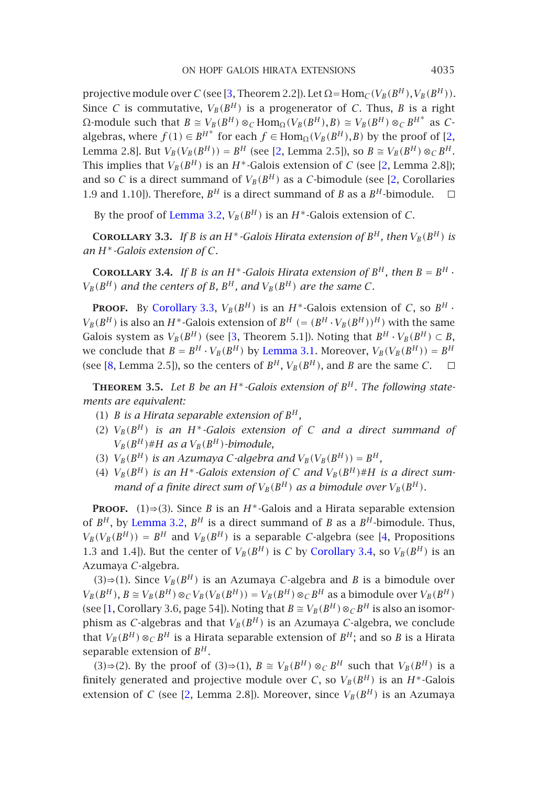#### ON HOPF GALOIS HIRATA EXTENSIONS 4035

<span id="page-2-1"></span><span id="page-2-0"></span>projective module [over](#page-1-0) *C* (see [3, Theorem 2.2]). Let  $\Omega = \text{Hom}_{\mathcal{C}}(V_B(B^H), V_B(B^H))$ . Since *C* is commutative,  $V_B(B^H)$  is a progenerator of *C*. Thus, *B* is a right  $\Omega$ -module such that  $B \cong V_B(B^H) \otimes_C \text{Hom}_{\Omega}(V_B(B^H), B) \cong V_B(B^H) \otimes_C B^{H^*}$  as *C*algebras, where  $f(1) \in B^{H^*}$  for each  $f \in \text{Hom}_{\Omega}(V_B(B^H), B)$  by the proof of [2, Lemma 2.8]. But  $V_B(V_B(B^H)) = B^H$  (see [2, Lemma 2.5]), so  $B \cong V_B(B^H) \otimes_C B^H$ . This implies that  $V_B(B^H)$  is an  $H^*$ -Galois extension of *C* (see [2, Lemma 2.8]); and so *C* is a [direct summa](#page-2-0)nd of  $V_B(B^H)$  as a *C*-bimodule (see [2, Corollaries 1.9 and 1.10]). Therefore,  $B^H$  is a direct summand of *B* as a  $B^H$ -bimodule.  $\Box$ 

By the proof of Lemma 3.2,  $V_B(B^H)$  is an  $H^*$ -Galois extension of *C*.

<span id="page-2-2"></span>**COROLLARY** 3.3. If *B* is an *H*<sup>\*</sup>-Galois Hirata extension of  $B<sup>H</sup>$ , then  $V_B(B<sup>H</sup>)$  is *an H*∗*-Galois extension of C.*

**COROLLARY** 3.4. If *B* is an *H*<sup>\*</sup>-Galois Hirata extension of  $B^H$ , then  $B = B^H$ .  $V_B(B^H)$  *and the centers of B, B<sup>H</sup>, and*  $V_B(B^H)$  *are the same C.* 

**PROOF.** By Corollary 3.3,  $V_B(B^H)$  is an  $H^*$ -Galois extension of *C*, so  $B^H$ .  $V_B(B^H)$  is also an *H*<sup>\*</sup>-Galois extension of  $B^H$  (=  $(B^H \cdot V_B(B^H))^H$ ) with the same Galois system as  $V_B(B^H)$  (see [3, Theorem 5.1]). Noting that  $B^H \cdot V_B(B^H) \subset B$ , we conclude that  $B = B^H \cdot V_B(B^H)$  by Lemma 3.1. Moreover,  $V_B(V_B(B^H)) = B^H$ (see [8, Lemma 2.5]), so the centers of  $B^H$ ,  $V_B(B^H)$ , and *B* are the same *C*.  $\Box$ 

**Theorem 3.5.** *Let B be an H*∗*-Galois extension of B<sup>H</sup> . The following statements are [equivalent:](#page-1-0)*

- (1) *B* is a Hirata separable extension of  $B^H$ ,
- (2)  $V_B(B^H)$  *is an H<sup>\*</sup>-Galois extension of C [and a dire](#page-2-1)ct summand of*  $V_B(B^H)$  #*H as a*  $V_B(B^H)$ *-bimodule,*
- (3)  $V_B(B^H)$  *is an Azumaya C-algebra and*  $V_B(V_B(B^H)) = B^H$ *,*
- (4)  $V_B(B^H)$  *is an H<sup>\*</sup>-Galois extension of C and*  $V_B(B^H) \# H$  *is a direct summand of a finite direct sum of*  $V_B(B^H)$  *as a bimodule over*  $V_B(B^H)$ *.*

**PROOF.** (1)⇒(3). Since *B* is an *H*<sup>∗</sup>-Galois and a Hirata separable extension of  $B^H$ , by Lemma 3.2,  $B^H$  is a direct summand of *B* as a  $B^H$ -bimodule. Thus,  $V_B(V_B(B^H)) = B^H$  and  $V_B(B^H)$  is a separable *C*-algebra (see [4, Propositions 1.3 and 1.4]). But the center of  $V_B(B^H)$  is *C* by Corollary 3.4, so  $V_B(B^H)$  is an Azumaya *C*-algebra.

(3)⇒(1). Since  $V_B(B^H)$  $V_B(B^H)$  $V_B(B^H)$  is an Azumaya *C*-algebra and *B* is a bimodule over  $V_B(B^H)$ ,  $B \cong V_B(B^H) \otimes_C V_B(V_B(B^H)) = V_B(B^H) \otimes_C B^H$  as a bimodule over  $V_B(B^H)$ (see [1, Corollary 3.6, page 54]). Noting that  $B \cong V_B(B^H) \otimes_C B^H$  is also an isomorphism as *C*-algebras and that  $V_B(B^H)$  is an Azumaya *C*-algebra, we conclude that  $V_B(B^H) \otimes_C B^H$  is a Hirata separable extension of  $B^H$ ; and so *B* is a Hirata separable extension of *B<sup>H</sup>* .

 $(3) \Rightarrow (2)$ . By the proof of  $(3) \Rightarrow (1)$ ,  $B \cong V_B(B^H) \otimes_C B^H$  such that  $V_B(B^H)$  is a finitely generated and projective module over *C*, so  $V_B(B^H)$  is an  $H^*$ -Galois extension of *C* (see [2, Lemma 2.8]). Moreover, since  $V_B(B^H)$  is an Azumaya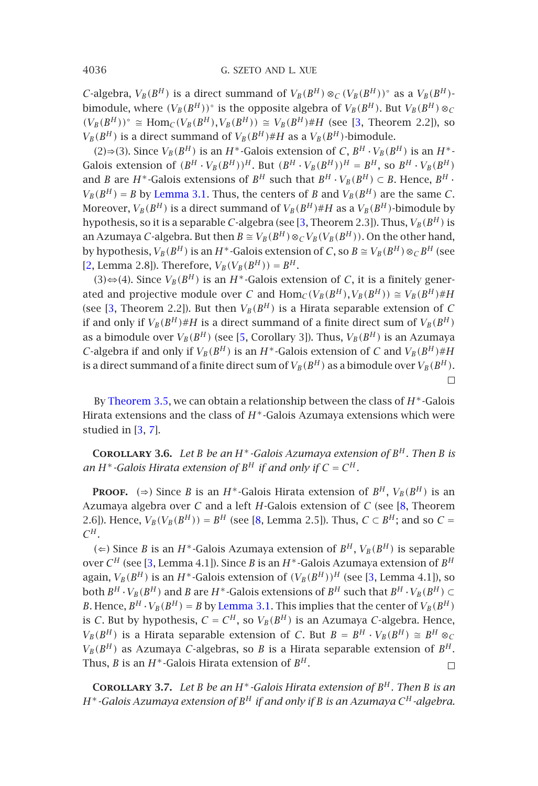4036 G. SZETO AND L. XUE

*C*-algebra,  $V_B(B^H)$  $V_B(B^H)$  $V_B(B^H)$  is a direct summand of  $V_B(B^H) \otimes_C (V_B(B^H))^{\circ}$  as a  $V_B(B^H)$ bimodule, where  $(V_B(B^H))^{\circ}$  is the opposite algebra of  $V_B(B^H)$ . But  $V_B(B^H) \otimes_C$  $(V_B(B^H))$ ◦  $\cong$   $\text{Hom}_C(V_B(B^H), V_B(B^H))$   $\cong$   $V_B(B^H)$ #*H* (see [3, Theorem 2.2]), so  $V_B(B^H)$  is a direct summand of  $V_B(B^H) \# H$  as a  $V_B(B^H)$ -bimodule.

(2)⇒(3). Since  $V_B(B^H)$  is an *H*<sup>∗</sup>-Galois extension of *C*,  $B^H \cdot V_B(B^H)$  is an *H*<sup>∗</sup>-Galois extension of  $(B^H \cdot V_B(B^H))^H$ . But  $(B^H \cdot V_B(B^H))^H = B^H$ , so  $B^H \cdot V_B(B^H)$ and *[B](#page-5-0)* are *H*<sup>\*</sup>-Galois extensions of *B*<sup>*H*</sup> such that  $B^H \cdot V_B(B^H) \subset B$ . Hence,  $B^H \cdot$  $V_B(B^H) = B$  by Lemma 3.1. Thus, the centers of *B* and  $V_B(B^H)$  are the same *C*. Moreover,  $V_B(B^H)$  is a direct su[mm](#page-5-2)and of  $V_B(B^H)$ #H as a  $V_B(B^H)$ -bimodule by hypothesis, so it is a separable *C*-algebra (see [3, Theorem 2.3]). Thus,  $V_B(B^H)$  is an Azumaya *C*-algebra. But then  $B \cong V_B(B^H) \otimes_C V_B(V_B(B^H))$ . On the other hand, by hypothesis,  $V_B(B^H)$  is an  $H^*$ -Galois extension of *C*, so  $B \cong V_B(B^H) \otimes_C B^H$  (see [2, Lemma 2.8]). Therefore,  $V_B(V_B(B^H)) = B^H$ .

(3)⇔[\(4\).](#page-2-2) [Since](#page-2-2)  $V_B(B^H)$  is an *H*<sup>∗</sup>-Galois extension of *C*, it is a finitely generated and projective module over *C* and  $\text{Hom}_{\mathcal{C}}(V_B(B^H), V_B(B^H)) \cong V_B(B^H) \# H$ (see [3, Th[eo](#page-5-0)[rem](#page-6-1) 2.2]). But then  $V_B(B^H)$  is a Hirata separable extension of *C* if and only if  $V_B(B^H) \# H$  is a direct summand of a finite direct sum of  $V_B(B^H)$ as a bimodule over  $V_B(B^H)$  (see [5, Corollary 3]). Thus,  $V_B(B^H)$  is an Azumaya *C*-algebra if and only if  $V_B(B^H)$  is an  $H^*$ -Galois extension of *C* and  $V_B(B^H) \# H$ is a direct summand of a finite direct sum of  $V_B(B^H)$  as a bimodule over  $V_B(B^H)$ .  $\Box$ 

By Theorem 3.5, we can obtain a r[ela](#page-6-0)tionship between the class of *H*∗-Galois Hirata extensions and the class of *H*∗-Galois Azumaya extensions which were studied in [3, [7](#page-5-0)].

**COROLLARY** 3.6. Let *B be an*  $H^*$ *-Galois Azumaya extensi[on](#page-5-0) of*  $B^H$ *. Then B is an*  $H^*$ -Galois Hirata extension of  $B^H$  if and only if  $C = C^H$ .

**PROOF.** (⇒) Since *B* is an *H*<sup>\*</sup>-Galois Hirata extension of *B*<sup>*H*</sup>,  $V_B(B^H)$  is an Azumaya algebra over *C* and a left *H*-Galois extension of *C* (see [8, Theorem 2.6]). Hence,  $V_B(V_B(B^H)) = B^H$  (see [8, Lemma 2.5]). Thus,  $C \subset B^H$ ; and so  $C =$  $C^H$ .

(∈) Since *B* is an *H*<sup>∗</sup>-Galois Azumaya extension of *B<sup>H</sup>*,  $V_B(B^H)$  is separable over *C<sup>H</sup>* (see [3, Lemma 4.1]). Since *B* is an *H*∗-Galois Azumaya extension of *B<sup>H</sup>* again,  $V_B(B^H)$  is an  $H^*$ -Galois extension of  $(V_B(B^H))^H$  (see [3, Lemma 4.1]), so both  $B^H \cdot V_B(B^H)$  and *B* are  $H^*$ -Galois extensions of  $B^H$  such that  $B^H \cdot V_B(B^H) \subset$ *B*. Hence,  $B^H \cdot V_B(B^H) = B$  by Lemma 3.1. This implies that the center of  $V_B(B^H)$ is *C*. But by hypothesis,  $C = C^H$ , so  $V_B(B^H)$  is an Azumaya *C*-algebra. Hence,  $V_B(B^H)$  is a Hirata separable extension of *C*. But  $B = B^H \cdot V_B(B^H) \cong B^H \otimes_C$  $V_B(B^H)$  as Azumaya *C*-algebras, so *B* is a Hirata separable extension of  $B^H$ . Thus, *B* is an  $H^*$ -Galois Hirata extension of  $B^H$ .  $\Box$ 

**COROLLARY** 3.7. Let *B be an*  $H^*$ *-Galois Hirata extension of*  $B^H$ *. Then B is an H*∗*-Galois Azumaya extension of B<sup>H</sup> if and only if B is an Azumaya C<sup>H</sup> -algebra.*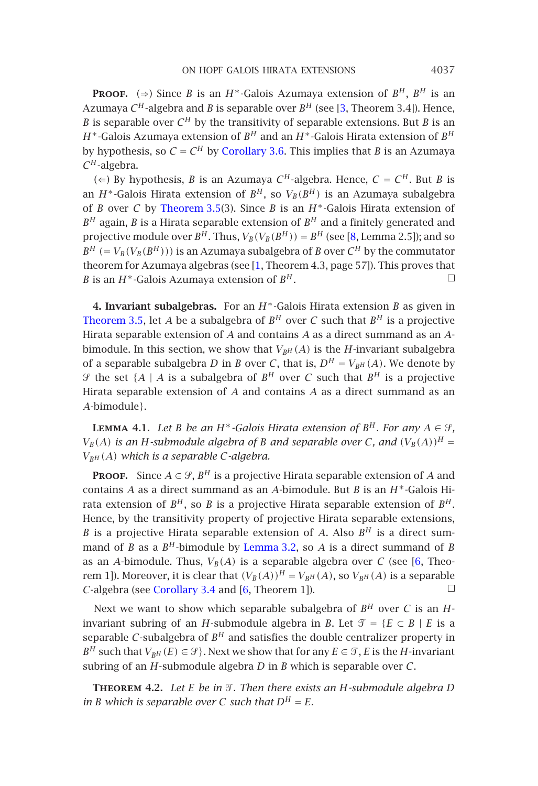### ON HOPF GALOIS HIRATA EXTENSIONS 4037

**PROOF.** (⇒) Since *B* [is](#page-2-2) [an](#page-2-2) *H*<sup>\*</sup>-Galois Azumaya extension of *B*<sup>*H*</sup>, *B*<sup>*H*</sup> is an Azumaya  $C^H$ -algebra and *B* is separable over  $B^H$  (see [3, [T](#page-6-0)heorem 3.4]). Hence, *B* is separable over  $C^H$  by the transitivity of separable extensions. But *B* is an *H*∗-Galois Azumaya extension of *B<sup>H</sup>* [a](#page-5-3)nd an *H*∗-Galois Hirata extension of *B<sup>H</sup>* by hypothesis, so  $C = C^H$  by Corollary 3.6. This implies that *B* is an Azumaya *C<sup>H</sup>* -algebra.

(∈) By hypothesis, *B* is an Azumaya  $C^H$ -algebra. Hence,  $C = C^H$ . But *B* is an  $H^*$ [-Galois](#page-2-2) Hirata extension of  $B^H$ , so  $V_B(B^H)$  is an Azumaya subalgebra of *B* over *C* by Theorem 3.5(3). Since *B* is an *H*∗-Galois Hirata extension of  $B<sup>H</sup>$  again, *B* is a Hirata separable extension of  $B<sup>H</sup>$  and a finitely generated and projective module over  $B^H$ . Thus,  $V_B(V_B(B^H)) = B^H$  (see [8, Lemma 2.5]); and so  $B^H$  (=  $V_B(V_B(B^H))$ ) is an Azumaya subalgebra of *B* over  $C^H$  by the commutator theorem for Azumaya algebras (see [1, Theorem 4.3, page 57]). This proves that *B* is an *H*∗-Galois Azumaya extension of *B<sup>H</sup>* .  $\Box$ 

<span id="page-4-1"></span>**4. Invariant subalgebras.** For an *H*∗-Galois Hirata extension *B* as given in Theorem 3.5, let *A* be a subalgebra of  $B^H$  over *C* such that  $B^H$  is a projective Hirata separable extension of *A* and contains *A* as a direct summand as an *A*bimodule. In this section, we show that  $V_{BH}(A)$  is the *H*-invariant subalgebra of a separable subalgebra *D* in *B* over *C*, that is,  $D^H = V_{BH}(A)$ . We denote by  $\mathcal{F}$  the set  $\{A \mid A$  is a subalgebra of  $B^H$  over C such that  $B^H$  is a projective Hirata separable extension of *A* and contains *A* as a direct summand as an *A*-bimodule}.

**LEMMA 4.1.** *Let B be an H*<sup>\*</sup>*-G[alois](#page-1-0) [Hirata](#page-1-0) extension of*  $B<sup>H</sup>$ *. For any*  $A \in \mathcal{G}$ *,*  $V_B(A)$  $V_B(A)$  $V_B(A)$  *is an H*-submodule algebra of *B and separable over C*, *and*  $(V_B(A))^H$  = *VBH (A) which [is a separable](#page-2-1) C-al[ge](#page-5-4)bra.*

**PROOF.** Since  $A \in \mathcal{G}$ ,  $B^H$  is a projective Hirata separable extension of *A* and contains *A* as a direct summand as an *A*-bimodule. But *B* is an *H*∗-Galois Hirata extension of  $B^H$ , so *B* is a projective Hirata separable extension of  $B^H$ . Hence, by the transitivity property of projective Hirata separable extensions, *B* is a projective Hirata separable extension of *A*. Also  $B<sup>H</sup>$  is a direct summand of *B* as a  $B^H$ -bimodule by Lemma 3.2, so *A* is a direct summand of *B* as an *A*-bimodule. Thus,  $V_B(A)$  is a separable algebra over C (see [6, Theorem 1]). Moreover, it is clear that  $(V_B(A))^H = V_{BH}(A)$ , so  $V_{BH}(A)$  is a separable *C*-algebra (see *Corollary* 3.4 and [6. Theorem 1]) *C*-algebra (see Corollary 3.4 and [6, Theorem 1]).

<span id="page-4-0"></span>Next we want to show which separable subalgebra of  $B<sup>H</sup>$  over *C* is an *H*invariant subring of an *H*-submodule algebra in *B*. Let  $\mathcal{T} = \{E \subset B \mid E \text{ is a }$ separable *C*-subalgebra of  $B<sup>H</sup>$  and satisfies the double centralizer property in *B*<sup>*H*</sup> such that  $V_{B^H}(E) \in \mathcal{G}$ . Next we show that for any  $E \in \mathcal{T}$ , *E* is the *H*-invariant subring of an *H*-submodule algebra *D* in *B* which is separable over *C*.

**THEOREM 4.2.** Let *E* be in  $\mathcal{T}$ . Then there exists an *H*-submodule algebra *D in B which is separable over C such that*  $D^H = E$ *.*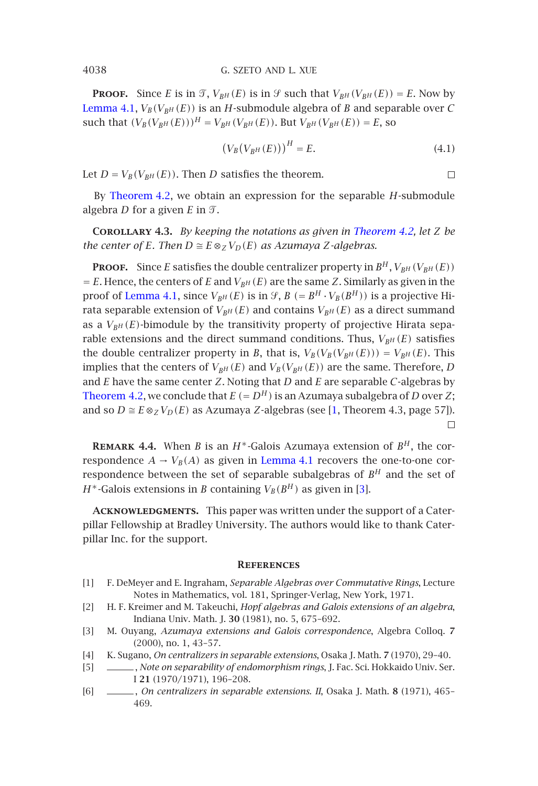#### 4038 G. SZETO AND L. XUE

**PROOF.** Since *E* is in  $\mathcal{T}$ ,  $V_{B^H}(E)$  is in  $\mathcal{G}$  such that  $V_{B^H}(V_{B^H}(E)) = E$ . Now by Lemma 4.1,  $V_B(V_{BH}(E))$  is an *H*-submodule algebra of *B* [and separabl](#page-4-0)e over *C* such that  $(V_B(V_{BH}(E)))^H = V_{BH}(V_{BH}(E))$ . But  $V_{BH}(V_{BH}(E)) = E$ , so

$$
\left(V_B(V_{B^H}(E))\right)^H = E.\tag{4.1}
$$

 $\Box$ 

Let  $D = V_B(V_{BH}(E))$ . Then *D* satisfies the theorem.

By Theorem 4.2, we obtain an expression for the separable *H*-submodule algebra  $D$  for a given  $E$  in  $\mathcal{T}$ .

**Corollary 4.3.** *By keeping the notations as given in Theorem 4.2, let Z be the center of E. Then*  $D \cong E \otimes_Z V_D(E)$  *as Azumaya Z-algebras.* 

**PROOF.** Since *E* satisfies the double centralizer property in  $B^H$ ,  $V_{BH}(V_{BH}(E))$  $E = E$ . Hence, the centers of *E* and  $V_{BH}(E)$  are the same *[Z](#page-5-3)*. Similarly as given in the proof of Lemma 4.1, since  $V_{BH}(E)$  is in  $\mathcal{G}, B (= B^H \cdot V_B(B^H))$  is a projective Hirata separable extension of  $V_{B^H}(E)$  and contains  $V_{B^H}(E)$  as a direct summand as a  $V_{BH}(E)$ -bimodule by the transitivity property of projective Hirata separable extensions and the direct sum[mand](#page-4-1) [condi](#page-4-1)tions. Thus,  $V_{BH}(E)$  satisfies the double centralizer property in *B*, that is,  $V_B(V_B(V_{B^H}(E))) = V_{B^H}(E)$ . This impli[e](#page-5-0)[s](#page-5-0) that the centers of  $V_{B^H}(E)$  and  $V_B(V_{B^H}(E))$  are the same. Therefore, *D* and *E* have the same center *Z*. Noting that *D* and *E* are separable *C*-algebras by Theorem 4.2, we conclude that  $E (= D<sup>H</sup>)$  is an Azumaya subalgebra of *D* over *Z*; and so  $D \cong E \otimes_Z V_D(E)$  as Azumaya *Z*-algebras (see [1, Theorem 4.3, page 57]).

<span id="page-5-3"></span><span id="page-5-1"></span>**REMARK 4.4.** When *B* is an  $H^*$ -Galois Azumaya extension of  $B^H$ , the correspondence  $A \rightarrow V_B(A)$  as given in Lemma 4.1 recovers the one-to-one correspondence between the set of separable subalgebras of  $B<sup>H</sup>$  and the set of *H*<sup>\*</sup>-Galois extensions in *B* containing  $V_B(B^H)$  as given in [3].

<span id="page-5-2"></span><span id="page-5-0"></span>**Acknowledgments.** This paper was written under the support of a Caterpillar Fellowship at Bradley University. The authors would like to thank Caterpillar Inc. for the support.

## **References**

- <span id="page-5-4"></span>[1] F. DeMeyer and E. Ingraham, *Separable Algebras over Commutative Rings*, Lecture Notes in Mathematics, vol. 181, Springer-Verlag, New York, 1971.
- [2] H. F. Kreimer and M. Takeuchi, *Hopf algebras and Galois extensions of an algebra*, Indiana Univ. Math. J. **30** (1981), no. 5, 675–692.
- [3] M. Ouyang, *Azumaya extensions and Galois correspondence*, Algebra Colloq. **7** (2000), no. 1, 43–57.
- [4] K. Sugano, *On centralizers in separable extensions*, Osaka J. Math. **7** (1970), 29–40.
- [5] , *Note on separability of endomorphism rings*, J. Fac. Sci. Hokkaido Univ. Ser. I **21** (1970/1971), 196–208.
- [6] , *On centralizers in separable extensions. II*, Osaka J. Math. **8** (1971), 465– 469.